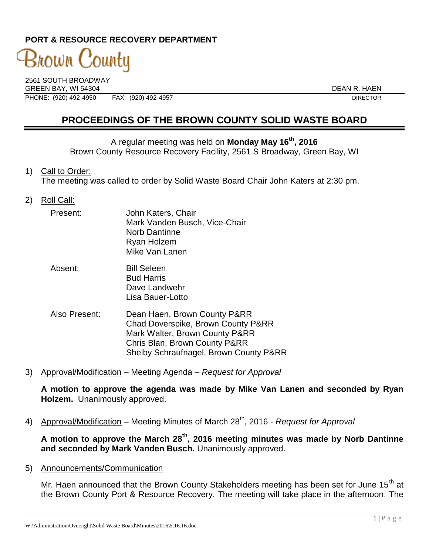# **PORT & RESOURCE RECOVERY DEPARTMENT**

# 3nown C 'ountu

2561 SOUTH BROADWAY GREEN BAY, WI 54304 DEAN R. HAEN PHONE: (920) 492-4950 FAX: (920) 492-4957 DIRECTOR

# **PROCEEDINGS OF THE BROWN COUNTY SOLID WASTE BOARD**

A regular meeting was held on **Monday May 16th, 2016** Brown County Resource Recovery Facility, 2561 S Broadway, Green Bay, WI

- 1) Call to Order: The meeting was called to order by Solid Waste Board Chair John Katers at 2:30 pm.
- 2) Roll Call:

| Present: | John Katers, Chair<br>Mark Vanden Busch, Vice-Chair<br><b>Norb Dantinne</b><br>Ryan Holzem<br>Mike Van Lanen |
|----------|--------------------------------------------------------------------------------------------------------------|
| Absent:  | <b>Bill Seleen</b><br><b>Bud Harris</b>                                                                      |

Dave Landwehr Lisa Bauer-Lotto

- Also Present: Dean Haen, Brown County P&RR Chad Doverspike, Brown County P&RR Mark Walter, Brown County P&RR Chris Blan, Brown County P&RR Shelby Schraufnagel, Brown County P&RR
- 3) Approval/Modification Meeting Agenda *Request for Approval*

**A motion to approve the agenda was made by Mike Van Lanen and seconded by Ryan Holzem.** Unanimously approved.

4) Approval/Modification – Meeting Minutes of March 28<sup>th</sup>, 2016 *- Request for Approval* 

**A motion to approve the March 28th, 2016 meeting minutes was made by Norb Dantinne and seconded by Mark Vanden Busch.** Unanimously approved.

5) Announcements/Communication

Mr. Haen announced that the Brown County Stakeholders meeting has been set for June  $15<sup>th</sup>$  at the Brown County Port & Resource Recovery. The meeting will take place in the afternoon. The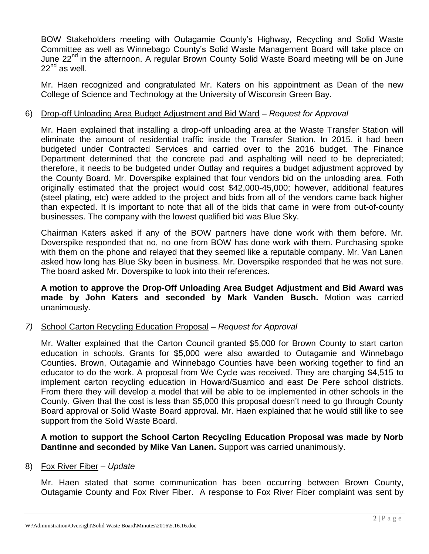BOW Stakeholders meeting with Outagamie County's Highway, Recycling and Solid Waste Committee as well as Winnebago County's Solid Waste Management Board will take place on June 22<sup>nd</sup> in the afternoon. A regular Brown County Solid Waste Board meeting will be on June  $22<sup>nd</sup>$  as well.

Mr. Haen recognized and congratulated Mr. Katers on his appointment as Dean of the new College of Science and Technology at the University of Wisconsin Green Bay.

#### 6) Drop-off Unloading Area Budget Adjustment and Bid Ward – *Request for Approval*

Mr. Haen explained that installing a drop-off unloading area at the Waste Transfer Station will eliminate the amount of residential traffic inside the Transfer Station. In 2015, it had been budgeted under Contracted Services and carried over to the 2016 budget. The Finance Department determined that the concrete pad and asphalting will need to be depreciated; therefore, it needs to be budgeted under Outlay and requires a budget adjustment approved by the County Board. Mr. Doverspike explained that four vendors bid on the unloading area. Foth originally estimated that the project would cost \$42,000-45,000; however, additional features (steel plating, etc) were added to the project and bids from all of the vendors came back higher than expected. It is important to note that all of the bids that came in were from out-of-county businesses. The company with the lowest qualified bid was Blue Sky.

Chairman Katers asked if any of the BOW partners have done work with them before. Mr. Doverspike responded that no, no one from BOW has done work with them. Purchasing spoke with them on the phone and relayed that they seemed like a reputable company. Mr. Van Lanen asked how long has Blue Sky been in business. Mr. Doverspike responded that he was not sure. The board asked Mr. Doverspike to look into their references.

**A motion to approve the Drop-Off Unloading Area Budget Adjustment and Bid Award was made by John Katers and seconded by Mark Vanden Busch.** Motion was carried unanimously.

## *7)* School Carton Recycling Education Proposal – *Request for Approval*

Mr. Walter explained that the Carton Council granted \$5,000 for Brown County to start carton education in schools. Grants for \$5,000 were also awarded to Outagamie and Winnebago Counties. Brown, Outagamie and Winnebago Counties have been working together to find an educator to do the work. A proposal from We Cycle was received. They are charging \$4,515 to implement carton recycling education in Howard/Suamico and east De Pere school districts. From there they will develop a model that will be able to be implemented in other schools in the County. Given that the cost is less than \$5,000 this proposal doesn't need to go through County Board approval or Solid Waste Board approval. Mr. Haen explained that he would still like to see support from the Solid Waste Board.

**A motion to support the School Carton Recycling Education Proposal was made by Norb Dantinne and seconded by Mike Van Lanen.** Support was carried unanimously.

#### 8) Fox River Fiber – *Update*

Mr. Haen stated that some communication has been occurring between Brown County, Outagamie County and Fox River Fiber. A response to Fox River Fiber complaint was sent by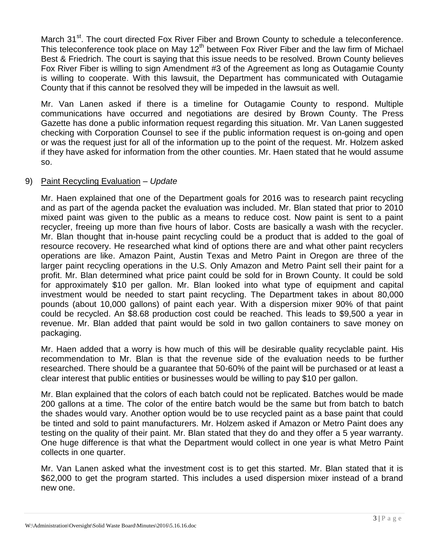March 31<sup>st</sup>. The court directed Fox River Fiber and Brown County to schedule a teleconference. This teleconference took place on May  $12<sup>th</sup>$  between Fox River Fiber and the law firm of Michael Best & Friedrich. The court is saying that this issue needs to be resolved. Brown County believes Fox River Fiber is willing to sign Amendment #3 of the Agreement as long as Outagamie County is willing to cooperate. With this lawsuit, the Department has communicated with Outagamie County that if this cannot be resolved they will be impeded in the lawsuit as well.

Mr. Van Lanen asked if there is a timeline for Outagamie County to respond. Multiple communications have occurred and negotiations are desired by Brown County. The Press Gazette has done a public information request regarding this situation. Mr. Van Lanen suggested checking with Corporation Counsel to see if the public information request is on-going and open or was the request just for all of the information up to the point of the request. Mr. Holzem asked if they have asked for information from the other counties. Mr. Haen stated that he would assume so.

#### 9) Paint Recycling Evaluation – *Update*

Mr. Haen explained that one of the Department goals for 2016 was to research paint recycling and as part of the agenda packet the evaluation was included. Mr. Blan stated that prior to 2010 mixed paint was given to the public as a means to reduce cost. Now paint is sent to a paint recycler, freeing up more than five hours of labor. Costs are basically a wash with the recycler. Mr. Blan thought that in-house paint recycling could be a product that is added to the goal of resource recovery. He researched what kind of options there are and what other paint recyclers operations are like. Amazon Paint, Austin Texas and Metro Paint in Oregon are three of the larger paint recycling operations in the U.S. Only Amazon and Metro Paint sell their paint for a profit. Mr. Blan determined what price paint could be sold for in Brown County. It could be sold for approximately \$10 per gallon. Mr. Blan looked into what type of equipment and capital investment would be needed to start paint recycling. The Department takes in about 80,000 pounds (about 10,000 gallons) of paint each year. With a dispersion mixer 90% of that paint could be recycled. An \$8.68 production cost could be reached. This leads to \$9,500 a year in revenue. Mr. Blan added that paint would be sold in two gallon containers to save money on packaging.

Mr. Haen added that a worry is how much of this will be desirable quality recyclable paint. His recommendation to Mr. Blan is that the revenue side of the evaluation needs to be further researched. There should be a guarantee that 50-60% of the paint will be purchased or at least a clear interest that public entities or businesses would be willing to pay \$10 per gallon.

Mr. Blan explained that the colors of each batch could not be replicated. Batches would be made 200 gallons at a time. The color of the entire batch would be the same but from batch to batch the shades would vary. Another option would be to use recycled paint as a base paint that could be tinted and sold to paint manufacturers. Mr. Holzem asked if Amazon or Metro Paint does any testing on the quality of their paint. Mr. Blan stated that they do and they offer a 5 year warranty. One huge difference is that what the Department would collect in one year is what Metro Paint collects in one quarter.

Mr. Van Lanen asked what the investment cost is to get this started. Mr. Blan stated that it is \$62,000 to get the program started. This includes a used dispersion mixer instead of a brand new one.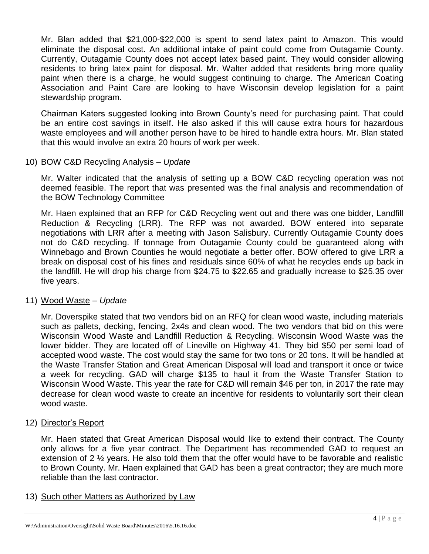Mr. Blan added that \$21,000-\$22,000 is spent to send latex paint to Amazon. This would eliminate the disposal cost. An additional intake of paint could come from Outagamie County. Currently, Outagamie County does not accept latex based paint. They would consider allowing residents to bring latex paint for disposal. Mr. Walter added that residents bring more quality paint when there is a charge, he would suggest continuing to charge. The American Coating Association and Paint Care are looking to have Wisconsin develop legislation for a paint stewardship program.

Chairman Katers suggested looking into Brown County's need for purchasing paint. That could be an entire cost savings in itself. He also asked if this will cause extra hours for hazardous waste employees and will another person have to be hired to handle extra hours. Mr. Blan stated that this would involve an extra 20 hours of work per week.

#### 10) BOW C&D Recycling Analysis – *Update*

Mr. Walter indicated that the analysis of setting up a BOW C&D recycling operation was not deemed feasible. The report that was presented was the final analysis and recommendation of the BOW Technology Committee

Mr. Haen explained that an RFP for C&D Recycling went out and there was one bidder, Landfill Reduction & Recycling (LRR). The RFP was not awarded. BOW entered into separate negotiations with LRR after a meeting with Jason Salisbury. Currently Outagamie County does not do C&D recycling. If tonnage from Outagamie County could be guaranteed along with Winnebago and Brown Counties he would negotiate a better offer. BOW offered to give LRR a break on disposal cost of his fines and residuals since 60% of what he recycles ends up back in the landfill. He will drop his charge from \$24.75 to \$22.65 and gradually increase to \$25.35 over five years.

## 11) Wood Waste – *Update*

Mr. Doverspike stated that two vendors bid on an RFQ for clean wood waste, including materials such as pallets, decking, fencing, 2x4s and clean wood. The two vendors that bid on this were Wisconsin Wood Waste and Landfill Reduction & Recycling. Wisconsin Wood Waste was the lower bidder. They are located off of Lineville on Highway 41. They bid \$50 per semi load of accepted wood waste. The cost would stay the same for two tons or 20 tons. It will be handled at the Waste Transfer Station and Great American Disposal will load and transport it once or twice a week for recycling. GAD will charge \$135 to haul it from the Waste Transfer Station to Wisconsin Wood Waste. This year the rate for C&D will remain \$46 per ton, in 2017 the rate may decrease for clean wood waste to create an incentive for residents to voluntarily sort their clean wood waste.

#### 12) Director's Report

Mr. Haen stated that Great American Disposal would like to extend their contract. The County only allows for a five year contract. The Department has recommended GAD to request an extension of 2 ½ years. He also told them that the offer would have to be favorable and realistic to Brown County. Mr. Haen explained that GAD has been a great contractor; they are much more reliable than the last contractor.

#### 13) Such other Matters as Authorized by Law